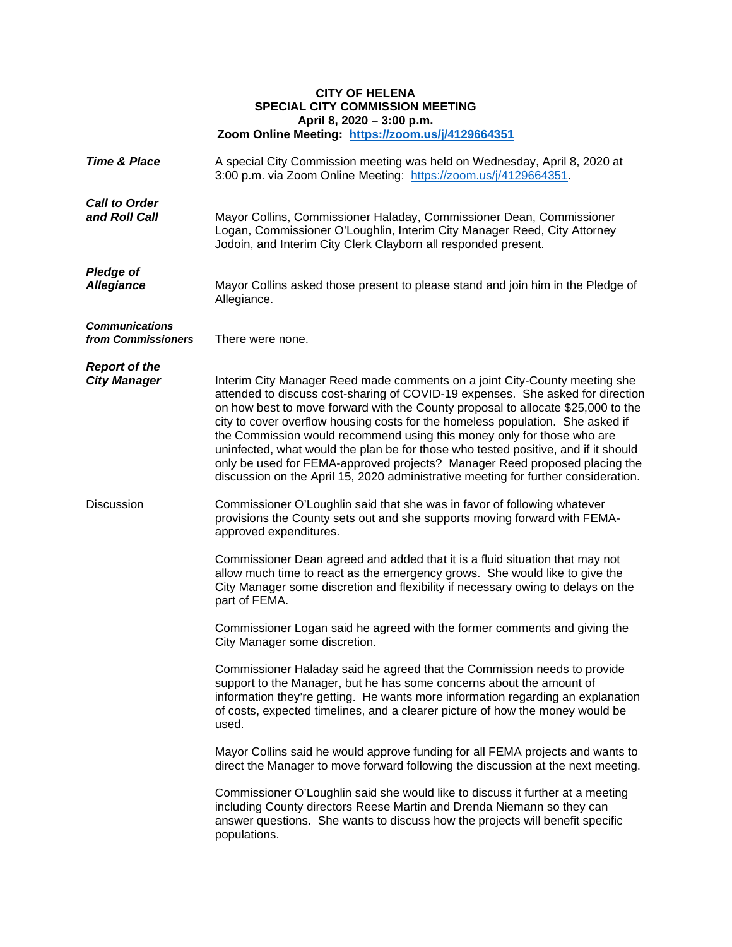## **CITY OF HELENA SPECIAL CITY COMMISSION MEETING April 8, 2020 – 3:00 p.m. Zoom Online Meeting: <https://zoom.us/j/4129664351>**

| <b>Time &amp; Place</b>                     | A special City Commission meeting was held on Wednesday, April 8, 2020 at<br>3:00 p.m. via Zoom Online Meeting: https://zoom.us/j/4129664351.                                                                                                                                                                                                                                                                                                                                                                                                                                                                                                                          |
|---------------------------------------------|------------------------------------------------------------------------------------------------------------------------------------------------------------------------------------------------------------------------------------------------------------------------------------------------------------------------------------------------------------------------------------------------------------------------------------------------------------------------------------------------------------------------------------------------------------------------------------------------------------------------------------------------------------------------|
| <b>Call to Order</b><br>and Roll Call       | Mayor Collins, Commissioner Haladay, Commissioner Dean, Commissioner<br>Logan, Commissioner O'Loughlin, Interim City Manager Reed, City Attorney<br>Jodoin, and Interim City Clerk Clayborn all responded present.                                                                                                                                                                                                                                                                                                                                                                                                                                                     |
| <b>Pledge of</b><br><b>Allegiance</b>       | Mayor Collins asked those present to please stand and join him in the Pledge of<br>Allegiance.                                                                                                                                                                                                                                                                                                                                                                                                                                                                                                                                                                         |
| <b>Communications</b><br>from Commissioners | There were none.                                                                                                                                                                                                                                                                                                                                                                                                                                                                                                                                                                                                                                                       |
| <b>Report of the</b><br><b>City Manager</b> | Interim City Manager Reed made comments on a joint City-County meeting she<br>attended to discuss cost-sharing of COVID-19 expenses. She asked for direction<br>on how best to move forward with the County proposal to allocate \$25,000 to the<br>city to cover overflow housing costs for the homeless population. She asked if<br>the Commission would recommend using this money only for those who are<br>uninfected, what would the plan be for those who tested positive, and if it should<br>only be used for FEMA-approved projects? Manager Reed proposed placing the<br>discussion on the April 15, 2020 administrative meeting for further consideration. |
| <b>Discussion</b>                           | Commissioner O'Loughlin said that she was in favor of following whatever<br>provisions the County sets out and she supports moving forward with FEMA-<br>approved expenditures.                                                                                                                                                                                                                                                                                                                                                                                                                                                                                        |
|                                             | Commissioner Dean agreed and added that it is a fluid situation that may not<br>allow much time to react as the emergency grows. She would like to give the<br>City Manager some discretion and flexibility if necessary owing to delays on the<br>part of FEMA.                                                                                                                                                                                                                                                                                                                                                                                                       |
|                                             | Commissioner Logan said he agreed with the former comments and giving the<br>City Manager some discretion.                                                                                                                                                                                                                                                                                                                                                                                                                                                                                                                                                             |
|                                             | Commissioner Haladay said he agreed that the Commission needs to provide<br>support to the Manager, but he has some concerns about the amount of<br>information they're getting. He wants more information regarding an explanation<br>of costs, expected timelines, and a clearer picture of how the money would be<br>used.                                                                                                                                                                                                                                                                                                                                          |
|                                             | Mayor Collins said he would approve funding for all FEMA projects and wants to<br>direct the Manager to move forward following the discussion at the next meeting.                                                                                                                                                                                                                                                                                                                                                                                                                                                                                                     |
|                                             | Commissioner O'Loughlin said she would like to discuss it further at a meeting<br>including County directors Reese Martin and Drenda Niemann so they can<br>answer questions. She wants to discuss how the projects will benefit specific<br>populations.                                                                                                                                                                                                                                                                                                                                                                                                              |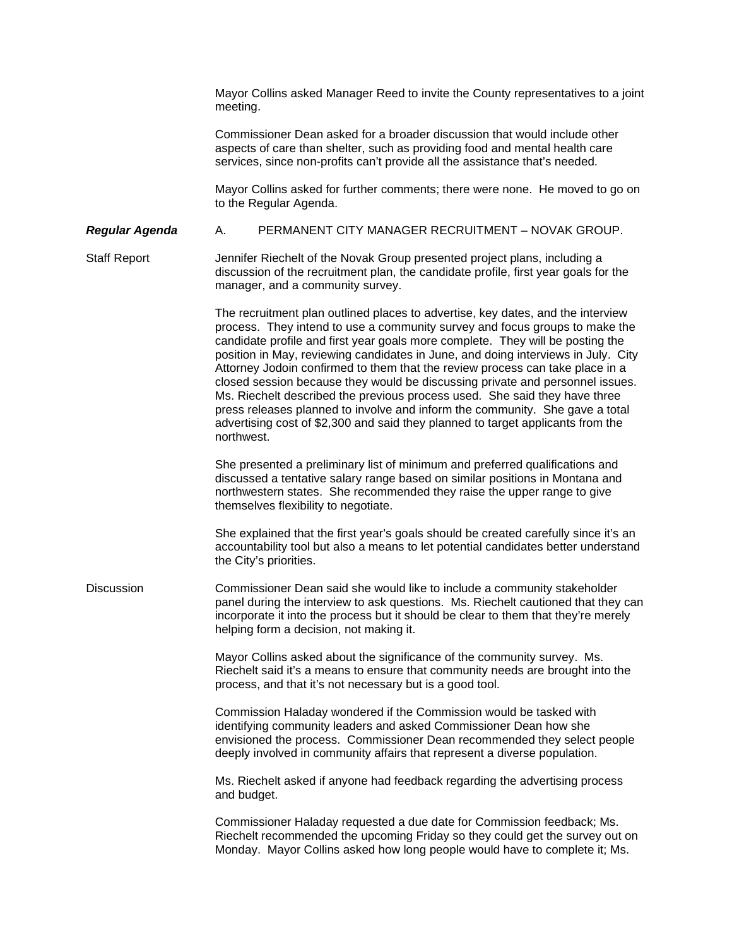Mayor Collins asked Manager Reed to invite the County representatives to a joint meeting.

Commissioner Dean asked for a broader discussion that would include other aspects of care than shelter, such as providing food and mental health care services, since non-profits can't provide all the assistance that's needed.

Mayor Collins asked for further comments; there were none. He moved to go on to the Regular Agenda.

## *Regular Agenda* A. PERMANENT CITY MANAGER RECRUITMENT – NOVAK GROUP.

Staff Report Jennifer Riechelt of the Novak Group presented project plans, including a discussion of the recruitment plan, the candidate profile, first year goals for the manager, and a community survey.

> The recruitment plan outlined places to advertise, key dates, and the interview process. They intend to use a community survey and focus groups to make the candidate profile and first year goals more complete. They will be posting the position in May, reviewing candidates in June, and doing interviews in July. City Attorney Jodoin confirmed to them that the review process can take place in a closed session because they would be discussing private and personnel issues. Ms. Riechelt described the previous process used. She said they have three press releases planned to involve and inform the community. She gave a total advertising cost of \$2,300 and said they planned to target applicants from the northwest.

She presented a preliminary list of minimum and preferred qualifications and discussed a tentative salary range based on similar positions in Montana and northwestern states. She recommended they raise the upper range to give themselves flexibility to negotiate.

She explained that the first year's goals should be created carefully since it's an accountability tool but also a means to let potential candidates better understand the City's priorities.

Discussion Commissioner Dean said she would like to include a community stakeholder panel during the interview to ask questions. Ms. Riechelt cautioned that they can incorporate it into the process but it should be clear to them that they're merely helping form a decision, not making it.

> Mayor Collins asked about the significance of the community survey. Ms. Riechelt said it's a means to ensure that community needs are brought into the process, and that it's not necessary but is a good tool.

Commission Haladay wondered if the Commission would be tasked with identifying community leaders and asked Commissioner Dean how she envisioned the process. Commissioner Dean recommended they select people deeply involved in community affairs that represent a diverse population.

Ms. Riechelt asked if anyone had feedback regarding the advertising process and budget.

Commissioner Haladay requested a due date for Commission feedback; Ms. Riechelt recommended the upcoming Friday so they could get the survey out on Monday. Mayor Collins asked how long people would have to complete it; Ms.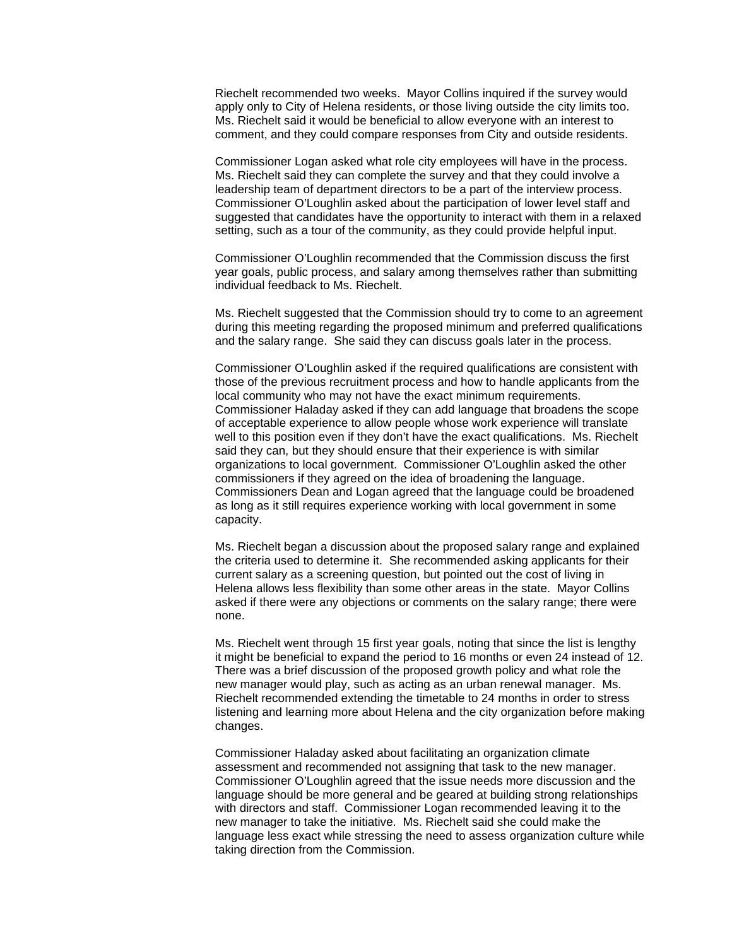Riechelt recommended two weeks. Mayor Collins inquired if the survey would apply only to City of Helena residents, or those living outside the city limits too. Ms. Riechelt said it would be beneficial to allow everyone with an interest to comment, and they could compare responses from City and outside residents.

Commissioner Logan asked what role city employees will have in the process. Ms. Riechelt said they can complete the survey and that they could involve a leadership team of department directors to be a part of the interview process. Commissioner O'Loughlin asked about the participation of lower level staff and suggested that candidates have the opportunity to interact with them in a relaxed setting, such as a tour of the community, as they could provide helpful input.

Commissioner O'Loughlin recommended that the Commission discuss the first year goals, public process, and salary among themselves rather than submitting individual feedback to Ms. Riechelt.

Ms. Riechelt suggested that the Commission should try to come to an agreement during this meeting regarding the proposed minimum and preferred qualifications and the salary range. She said they can discuss goals later in the process.

Commissioner O'Loughlin asked if the required qualifications are consistent with those of the previous recruitment process and how to handle applicants from the local community who may not have the exact minimum requirements. Commissioner Haladay asked if they can add language that broadens the scope of acceptable experience to allow people whose work experience will translate well to this position even if they don't have the exact qualifications. Ms. Riechelt said they can, but they should ensure that their experience is with similar organizations to local government. Commissioner O'Loughlin asked the other commissioners if they agreed on the idea of broadening the language. Commissioners Dean and Logan agreed that the language could be broadened as long as it still requires experience working with local government in some capacity.

Ms. Riechelt began a discussion about the proposed salary range and explained the criteria used to determine it. She recommended asking applicants for their current salary as a screening question, but pointed out the cost of living in Helena allows less flexibility than some other areas in the state. Mayor Collins asked if there were any objections or comments on the salary range; there were none.

Ms. Riechelt went through 15 first year goals, noting that since the list is lengthy it might be beneficial to expand the period to 16 months or even 24 instead of 12. There was a brief discussion of the proposed growth policy and what role the new manager would play, such as acting as an urban renewal manager. Ms. Riechelt recommended extending the timetable to 24 months in order to stress listening and learning more about Helena and the city organization before making changes.

Commissioner Haladay asked about facilitating an organization climate assessment and recommended not assigning that task to the new manager. Commissioner O'Loughlin agreed that the issue needs more discussion and the language should be more general and be geared at building strong relationships with directors and staff. Commissioner Logan recommended leaving it to the new manager to take the initiative. Ms. Riechelt said she could make the language less exact while stressing the need to assess organization culture while taking direction from the Commission.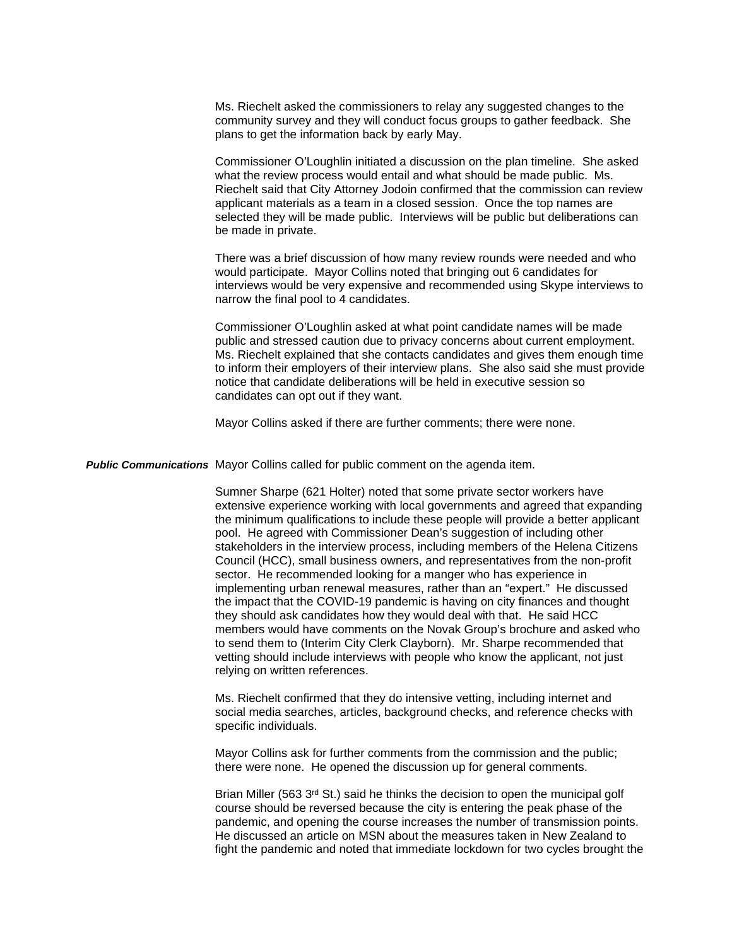Ms. Riechelt asked the commissioners to relay any suggested changes to the community survey and they will conduct focus groups to gather feedback. She plans to get the information back by early May.

Commissioner O'Loughlin initiated a discussion on the plan timeline. She asked what the review process would entail and what should be made public. Ms. Riechelt said that City Attorney Jodoin confirmed that the commission can review applicant materials as a team in a closed session. Once the top names are selected they will be made public. Interviews will be public but deliberations can be made in private.

There was a brief discussion of how many review rounds were needed and who would participate. Mayor Collins noted that bringing out 6 candidates for interviews would be very expensive and recommended using Skype interviews to narrow the final pool to 4 candidates.

Commissioner O'Loughlin asked at what point candidate names will be made public and stressed caution due to privacy concerns about current employment. Ms. Riechelt explained that she contacts candidates and gives them enough time to inform their employers of their interview plans. She also said she must provide notice that candidate deliberations will be held in executive session so candidates can opt out if they want.

Mayor Collins asked if there are further comments; there were none.

*Public Communications* Mayor Collins called for public comment on the agenda item.

Sumner Sharpe (621 Holter) noted that some private sector workers have extensive experience working with local governments and agreed that expanding the minimum qualifications to include these people will provide a better applicant pool. He agreed with Commissioner Dean's suggestion of including other stakeholders in the interview process, including members of the Helena Citizens Council (HCC), small business owners, and representatives from the non-profit sector. He recommended looking for a manger who has experience in implementing urban renewal measures, rather than an "expert." He discussed the impact that the COVID-19 pandemic is having on city finances and thought they should ask candidates how they would deal with that. He said HCC members would have comments on the Novak Group's brochure and asked who to send them to (Interim City Clerk Clayborn). Mr. Sharpe recommended that vetting should include interviews with people who know the applicant, not just relying on written references.

Ms. Riechelt confirmed that they do intensive vetting, including internet and social media searches, articles, background checks, and reference checks with specific individuals.

Mayor Collins ask for further comments from the commission and the public; there were none. He opened the discussion up for general comments.

Brian Miller (563 3<sup>rd</sup> St.) said he thinks the decision to open the municipal golf course should be reversed because the city is entering the peak phase of the pandemic, and opening the course increases the number of transmission points. He discussed an article on MSN about the measures taken in New Zealand to fight the pandemic and noted that immediate lockdown for two cycles brought the